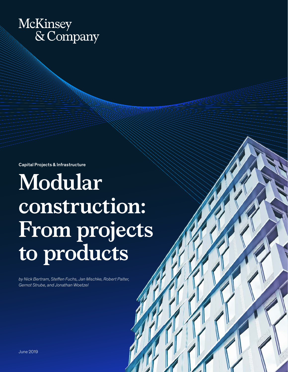### McKinsey & Company

Capital Projects & Infrastructure

# **Modular construction: From projects to products**

*by Nick Bertram, Steffen Fuchs, Jan Mischke, Robert Palter, Gernot Strube, and Jonathan Woetzel*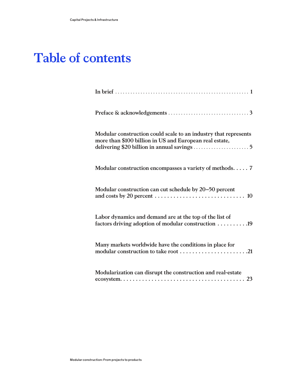### **Table of contents**

| Modular construction could scale to an industry that represents<br>more than \$100 billion in US and European real estate,                                   |
|--------------------------------------------------------------------------------------------------------------------------------------------------------------|
| Modular construction encompasses a variety of methods. 7                                                                                                     |
| Modular construction can cut schedule by 20-50 percent<br>and costs by 20 percent $\ldots \ldots \ldots \ldots \ldots \ldots \ldots \ldots \ldots \ldots$ 10 |
| Labor dynamics and demand are at the top of the list of<br>factors driving adoption of modular construction  19                                              |
| Many markets worldwide have the conditions in place for<br>modular construction to take root 21                                                              |
| Modularization can disrupt the construction and real-estate                                                                                                  |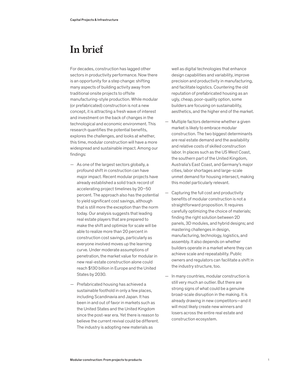### **In brief**

For decades, construction has lagged other sectors in productivity performance. Now there is an opportunity for a step change: shifting many aspects of building activity away from traditional onsite projects to offsite manufacturing-style production. While modular (or prefabricated) construction is not a new concept, it is attracting a fresh wave of interest and investment on the back of changes in the technological and economic environment. This research quantifies the potential benefits, explores the challenges, and looks at whether, this time, modular construction will have a more widespread and sustainable impact. Among our findings:

- As one of the largest sectors globally, a profound shift in construction can have major impact. Recent modular projects have already established a solid track record of accelerating project timelines by 20–50 percent. The approach also has the potential to yield significant cost savings, although that is still more the exception than the norm today. Our analysis suggests that leading real estate players that are prepared to make the shift and optimize for scale will be able to realize more than 20 percent in construction cost savings, particularly as everyone involved moves up the learning curve. Under moderate assumptions of penetration, the market value for modular in new real-estate construction alone could reach \$130 billion in Europe and the United States by 2030.
- Prefabricated housing has achieved a sustainable foothold in only a few places, including Scandinavia and Japan. It has been in and out of favor in markets such as the United States and the United Kingdom since the post-war era. Yet there is reason to believe the current revival could be different. The industry is adopting new materials as

well as digital technologies that enhance design capabilities and variability, improve precision and productivity in manufacturing, and facilitate logistics. Countering the old reputation of prefabricated housing as an ugly, cheap, poor-quality option, some builders are focusing on sustainability, aesthetics, and the higher end of the market.

- Multiple factors determine whether a given market is likely to embrace modular construction. The two biggest determinants are real estate demand and the availability and relative costs of skilled construction labor. In places such as the US West Coast, the southern part of the United Kingdom, Australia's East Coast, and Germany's major cities, labor shortages and large-scale unmet demand for housing intersect, making this model particularly relevant.
- Capturing the full cost and productivity benefits of modular construction is not a straightforward proposition. It requires carefully optimizing the choice of materials; finding the right solution between 2D panels, 3D modules, and hybrid designs; and mastering challenges in design, manufacturing, technology, logistics, and assembly. It also depends on whether builders operate in a market where they can achieve scale and repeatability. Public owners and regulators can facilitate a shift in the industry structure, too.
- In many countries, modular construction is still very much an outlier. But there are strong signs of what could be a genuine broad-scale disruption in the making. It is already drawing in new competitors—and it will most likely create new winners and losers across the entire real estate and construction ecosystem.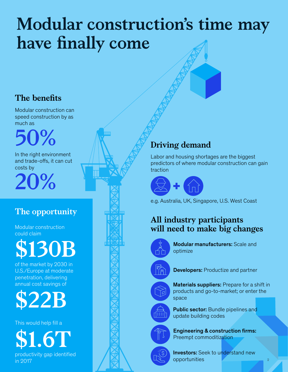## **Modular construction's time may have finally come**

### **The benefits**

Modular construction can speed construction by as much as

**50%**

In the right environment and trade-offs, it can cut costs by

**20%**

### **The opportunity**

Modular construction could claim

**\$130B**

of the market by 2030 in U.S./Europe at moderate penetration, delivering annual cost savings of

**\$22B**

This would help fill a

**\$1 .6T** productivity gap identified in 2017



### **Driving demand**

Labor and housing shortages are the biggest predictors of where modular construction can gain traction



e.g. Australia, UK, Singapore, U.S. West Coast

### **All industry participants will need to make big changes**



Modular manufacturers: Scale and optimize



**Developers: Productize and partner** 



**Materials suppliers:** Prepare for a shift in products and go-to-market; or enter the space



**Public sector:** Bundle pipelines and update building codes



Engineering & construction firms: Preempt commoditization



**Investors:** Seek to understand new opportunities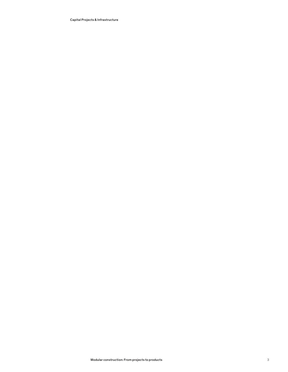Capital Projects & Infrastructure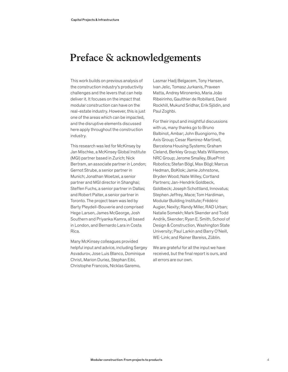### **Preface & acknowledgements**

This work builds on previous analysis of the construction industry's productivity challenges and the levers that can help deliver it. It focuses on the impact that modular construction can have on the real-estate industry. However, this is just one of the areas which can be impacted, and the disruptive elements discussed here apply throughout the construction industry.

This research was led for McKinsey by Jan Mischke, a McKinsey Global Institute (MGI) partner based in Zurich; Nick Bertram, an associate partner in London; Gernot Strube, a senior partner in Munich; Jonathan Woetzel, a senior partner and MGI director in Shanghai; Steffen Fuchs, a senior partner in Dallas; and Robert Palter, a senior partner in Toronto. The project team was led by Barty Pleydell-Bouverie and comprised Hege Larsen, James McGeorge, Josh Southern and Priyanka Kamra, all based in London, and Bernardo Lara in Costa Rica.

Many McKinsey colleagues provided helpful input and advice, including Sergey Asvadurov, Jose Luis Blanco, Dominique Christ, Marion Duriez, Stephan Eibl, Christophe Francois, Nicklas Garemo,

Lasmar Hadj Belgacem, Tony Hansen, Ivan Jelic, Tomasz Jurkanis, Praveen Matta, Andrey Mironenko, Maria João Ribeirinho, Gaulthier de Robillard, David Rockhill, Mukund Sridhar, Erik Sjödin, and Paul Zoghbi.

For their input and insightful discussions with us, many thanks go to Bruno Balbinot, Ambar; John Buongiorno, the Axis Group; Cesar Ramirez-Martinell, Barcelona Housing Systems; Graham Cleland, Berkley Group; Mats Williamson, NRC Group; Jerome Smalley, BluePrint Robotics; Stefan Bögl, Max Bögl; Marcus Hedman, BoKlok; Jamie Johnstone, Bryden Wood; Nate Willey, Cortland Partners; Jan-Hendrik Goldbeck, Goldbeck; Joseph Schottland, Innovatus; Stephen Jeffrey, Mace; Tom Hardiman, Modular Building Institute; Frédéric Augier, Nexity; Randy Miller, RAD Urban; Natalie Somekh; Mark Skender and Todd Andrik, Skender; Ryan E. Smith, School of Design & Construction, Washington State University; Paul Larkin and Barry O'Neill, WE-Link; and Rainer Bareiss, Züblin.

We are grateful for all the input we have received, but the final report is ours, and all errors are our own.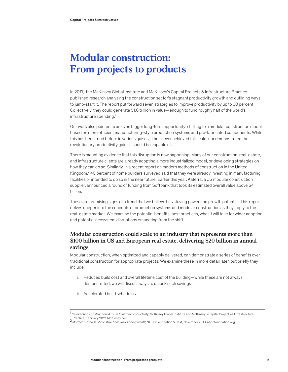### **Modular construction: From projects to products**

In 2017, the McKinsey Global Institute and McKinsey's Capital Projects & Infrastructure Practice published research analyzing the construction sector's stagnant productivity growth and outlining ways to jump-start it. The report put forward seven strategies to improve productivity by up to 60 percent. Collectively, they could generate \$1.6 trillion in value—enough to fund roughly half of the world's infrastructure spending.<sup>1</sup>

Our work also pointed to an even bigger long-term opportunity: shifting to a modular construction model based on more efficient manufacturing-style production systems and pre-fabricated components. While this has been tried before in various guises, it has never achieved full scale, nor demonstrated the revolutionary productivity gains it should be capable of.

There is mounting evidence that this disruption is now happening. Many of our construction, real-estate, and infrastructure clients are already adopting a more industrialized model, or developing strategies on how they can do so. Similarly, in a recent report on modern methods of construction in the United Kingdom,<sup>2</sup> 40 percent of home builders surveyed said that they were already investing in manufacturing facilities or intended to do so in the near future. Earlier this year, Katerra, a US modular construction supplier, announced a round of funding from Softbank that took its estimated overall value above \$4 billion.

These are promising signs of a trend that we believe has staying power and growth potential. This report delves deeper into the concepts of production systems and modular construction as they apply to the real-estate market. We examine the potential benefits, best practices, what it will take for wider adoption, and potential ecosystem disruptions emanating from the shift.

#### **Modular construction could scale to an industry that represents more than \$100 billion in US and European real estate, delivering \$20 billion in annual savings**

Modular construction, when optimized and capably delivered, can demonstrate a series of benefits over traditional construction for appropriate projects. We examine these in more detail later, but briefly they include:

- i. Reduced build cost and overall lifetime cost of the building—while these are not always demonstrated, we will discuss ways to unlock such savings
- ii. Accelerated build schedules

<sup>1</sup>*Reinventing construction: A route to higher productivity*, McKinsey Global Institute and McKinsey's Capital Projects & Infrastructure Practice, February 2017, McKinsey.com.

<sup>2</sup>*Modern methods of construction: Who's doing what?*, NHBC Foundation & Cast, November 2018, nhbcfoundation.org.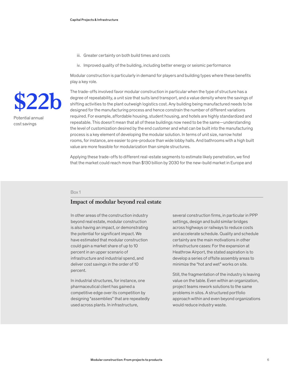- iii. Greater certainty on both build times and costs
- iv. Improved quality of the building, including better energy or seismic performance

Modular construction is particularly in demand for players and building types where these benefits play a key role.

The trade-offs involved favor modular construction in particular when the type of structure has a degree of repeatability, a unit size that suits land transport, and a value density where the savings of shifting activities to the plant outweigh logistics cost. Any building being manufactured needs to be designed for the manufacturing process and hence constrain the number of different variations required. For example, affordable housing, student housing, and hotels are highly standardized and repeatable. This doesn't mean that all of these buildings now need to be the same—understanding the level of customization desired by the end customer and what can be built into the manufacturing process is a key element of developing the modular solution. In terms of unit size, narrow hotel rooms, for instance, are easier to pre-produce than wide lobby halls. And bathrooms with a high built value are more feasible for modularization than simple structures.

Applying these trade-offs to different real-estate segments to estimate likely penetration, we find that the market could reach more than \$130 billion by 2030 for the new-build market in Europe and

#### Box 1

#### **Impact of modular beyond real estate**

In other areas of the construction industry beyond real estate, modular construction is also having an impact, or demonstrating the potential for significant impact. We have estimated that modular construction could gain a market share of up to 10 percent in an upper scenario of infrastructure and industrial spend, and deliver cost savings in the order of 10 percent.

In industrial structures, for instance, one pharmaceutical client has gained a competitive edge over its competition by designing "assemblies" that are repeatedly used across plants. In infrastructure,

several construction firms, in particular in PPP settings, design and build similar bridges across highways or railways to reduce costs and accelerate schedule. Quality and schedule certainty are the main motivations in other infrastructure cases: For the expansion at Heathrow Airport, the stated aspiration is to develop a series of offsite assembly areas to minimize the "hot and wet" works on site.

Still, the fragmentation of the industry is leaving value on the table. Even within an organization, project teams rework solutions to the same problems in silos. A structured portfolio approach within and even beyond organizations would reduce industry waste.



Potential annual cost savings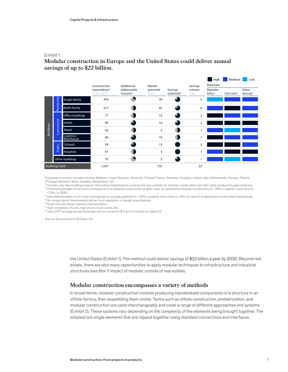#### Exhibit 1

#### **Modular construction in Europe and the United States could deliver annual**  savings of up to \$22 billion.

|                        |                 |                                                          |                                                  |                              |                                   |                            |                                 | High                   | Medium                        | Low |
|------------------------|-----------------|----------------------------------------------------------|--------------------------------------------------|------------------------------|-----------------------------------|----------------------------|---------------------------------|------------------------|-------------------------------|-----|
|                        |                 | Construction<br>expenditure <sup>2</sup><br>\$8 bn, 2017 | Additional<br>addressable<br>volume <sup>3</sup> | Market<br>potential<br>\$ bn | Savings<br>potential <sup>4</sup> | Savings<br>volume<br>\$ bn | Rationale                       |                        |                               |     |
|                        |                 |                                                          |                                                  |                              |                                   |                            | Repeata-<br>bility <sup>5</sup> | Unit size <sup>6</sup> | Value<br>density <sup>7</sup> |     |
| Buildings <sup>1</sup> | Residential     | Single family                                            | 376                                              |                              | 30                                |                            | 5                               |                        |                               |     |
|                        |                 | Multi-family                                             | 277                                              |                              | 45                                |                            | 6                               |                        |                               |     |
|                        | ercial<br>Comme | Office buildings                                         | 77                                               |                              | 10                                |                            | $\mathcal{P}$                   |                        |                               |     |
|                        |                 | Hotels                                                   | 40                                               |                              | 10                                |                            | $\mathcal{P}$                   |                        |                               |     |
|                        |                 | Retail                                                   | 42                                               |                              | 5                                 |                            |                                 |                        |                               |     |
|                        |                 | Logistics/<br>Warehouse                                  | 46                                               |                              | 10                                |                            |                                 |                        |                               |     |
|                        | Public          | Schools                                                  | 59                                               |                              | 15                                |                            | 3                               |                        |                               |     |
|                        |                 | Hospitals                                                | 41                                               |                              | 5                                 |                            |                                 |                        |                               |     |
|                        | Other buildings |                                                          | 70                                               |                              | 5                                 |                            |                                 |                        |                               |     |
| <b>Buildings total</b> |                 | 1,027                                                    |                                                  | 135                          |                                   | 22                         |                                 |                        |                               |     |

<sup>1</sup>European countries included: Austria, Belgium, Czech Republic, Denmark, Finland, France, Germany, Hungary, Ireland, Italy, Netherlands, Norway, Poland, Portugal, Slovakia, Spain, Sweden, Switzerland, UK.

<sup>2</sup> Includes only new building projects. Renovation/maintenance projects are less suitable for modular construction, but offer other productivity gain potential. <sup>3</sup> Informed estimates. A full moon corresponds to a potential construction project value for (additional) modular construction of ~30%, a quarter moon thus to ~7.5%, in 2030.

⁴ Informed estimates. A full moon corresponds to savings potential of ~20%, a quarter moon thus to ~5%, for each € of addressed construction expenditure. <sup>5</sup> No unique layout requirements (either from regulation, or design expectations).

<sup>6</sup> Small unit size allows standard transportation.

 $7$  High complexity of units, high share of wet rooms, etc.

<sup>8</sup> Used 2017 average annual exchange rate to convert to \$ from Euroconstruct data in €.

Source: Euroconstruct; McGraw-Hill

the United States (Exhibit 1). The method could deliver savings of \$22 billion a year by 2030. Beyond real estate, there are also many opportunities to apply modular techniques to infrastructure and industrial structures (see Box 1: Impact of modular outside of real estate).

#### **Modular construction encompasses a variety of methods**

In broad terms, modular construction involves producing standardized components of a structure in an offsite factory, then assembling them onsite. Terms such as offsite construction, prefabrication, and modular construction are used interchangeably and cover a range of different approaches and systems (Exhibit 2). These systems vary depending on the complexity of the elements being brought together. The simplest are single elements that are clipped together using standard connections and interfaces.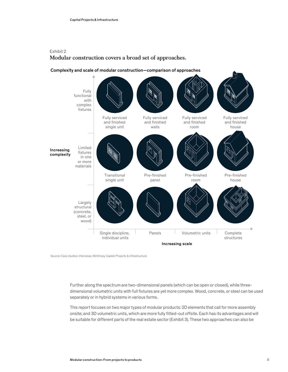#### Exhibit 2 **Modular construction covers a broad set of approaches .**





Source: Case studies; interviews; McKinsey Capital Projects & Infrastructure

Further along the spectrum are two-dimensional panels (which can be open or closed), while threedimensional volumetric units with full fixtures are yet more complex. Wood, concrete, or steel can be used separately or in hybrid systems in various forms.

This report focuses on two major types of modular products: 2D elements that call for more assembly onsite; and 3D volumetric units, which are more fully fitted-out offsite. Each has its advantages and will be suitable for different parts of the real estate sector (Exhibit 3). These two approaches can also be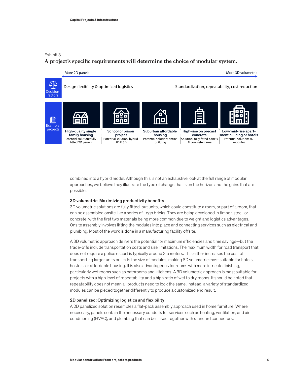#### Exhibit 3

#### **A project's specific requirements will determine the choice of modular system.**



combined into a hybrid model. Although this is not an exhaustive look at the full range of modular approaches, we believe they illustrate the type of change that is on the horizon and the gains that are possible.

#### 3D volumetric: Maximizing productivity benefits

3D volumetric solutions are fully fitted-out units, which could constitute a room, or part of a room, that can be assembled onsite like a series of Lego bricks. They are being developed in timber, steel, or concrete, with the first two materials being more common due to weight and logistics advantages. Onsite assembly involves lifting the modules into place and connecting services such as electrical and plumbing. Most of the work is done in a manufacturing facility offsite.

A 3D volumetric approach delivers the potential for maximum efficiencies and time savings—but the trade-offs include transportation costs and size limitations. The maximum width for road transport that does not require a police escort is typically around 3.5 meters. This either increases the cost of transporting larger units or limits the size of modules, making 3D volumetric most suitable for hotels, hostels, or affordable housing. It is also advantageous for rooms with more intricate finishing, particularly wet rooms such as bathrooms and kitchens. A 3D volumetric approach is most suitable for projects with a high level of repeatability and a high ratio of wet to dry rooms. It should be noted that repeatability does not mean all products need to look the same. Instead, a variety of standardized modules can be pieced together differently to produce a customized end result.

#### 2D panelized: Optimizing logistics and flexibility

A 2D panelized solution resembles a flat-pack assembly approach used in home furniture. Where necessary, panels contain the necessary conduits for services such as heating, ventilation, and air conditioning (HVAC), and plumbing that can be linked together with standard connectors.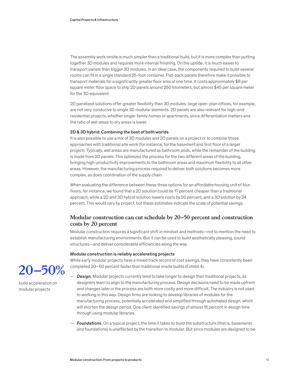The assembly work onsite is much simpler than a traditional build, but it is more complex than putting together 3D modules and requires more internal finishing. On the upside, it is much easier to transport panels than bigger 3D modules. In an ideal case, the components required to build several rooms can fit in a single standard 25-foot container. Flat-pack panels therefore make it possible to transport materials for a significantly greater floor area at one time. It costs approximately \$8 per square meter floor space to ship 2D panels around 250 kilometers, but almost \$45 per square meter for the 3D equivalent.

2D panelized solutions offer greater flexibility than 3D modules: large open-plan offices, for example, are not very conducive to single 3D modular elements. 2D panels are also relevant for high-end residential projects, whether single-family homes or apartments, since differentiation matters and the ratio of wet areas to dry areas is lower.

#### 2D & 3D hybrid: Combining the best of both worlds

It is also possible to use a mix of 3D modules and 2D panels on a project or to combine those approaches with traditional site work (for instance, for the basement and first floor of a larger project). Typically, wet areas are manufactured as bathroom pods, while the remainder of the building is made from 2D panels. This optimizes the process for the two different areas of the building, bringing high-productivity improvements to the bathroom areas and maximum flexibility to all other areas. However, the manufacturing process required to deliver both solutions becomes more complex, as does coordination of the supply chain.

When evaluating the difference between these three options for an affordable housing unit of four floors, for instance, we found that a 2D solution could be 17 percent cheaper than a traditional approach, while a 2D and 3D hybrid solution lowers costs by 20 percent, and a 3D solution by 24 percent. This would vary by project, but these estimates indicate the scale of potential savings.

#### **Modular construction can cut schedule by 20–50 percent and construction costs by 20 percent**

Modular construction requires a significant shift in mindset and methods—not to mention the need to establish manufacturing environments. But it can be used to build aesthetically pleasing, sound structures—and deliver considerable efficiencies along the way.

#### Modular construction is reliably accelerating projects

While early modular projects have a mixed track record of cost savings, they have consistently been completed 20–50 percent faster than traditional onsite builds (Exhibit 4).

- *Design.* Modular projects currently tend to take longer to design than traditional projects, as designers learn to align to the manufacturing process. Design decisions need to be made upfront and changes later in the process are both more costly and more difficult. The industry is not used to working in this way. Design firms are looking to develop libraries of modules for the manufacturing process, potentially accelerated and simplified through automated design, which will shorten the design period. One client identified savings of almost 15 percent in design time through using modular libraries.
- *Foundations.* On a typical project, the time it takes to build the substructure (that is, basements and foundations) is unaffected by the transition to modular. But since modules are designed to be



build acceleration on modular projects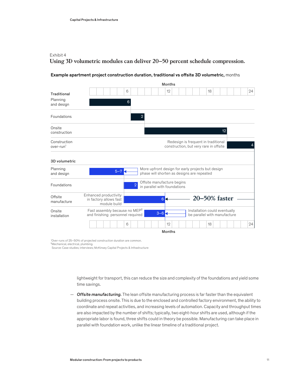#### Exhibit 4 Using 3D volumetric modules can deliver 20–50 percent schedule compression.

#### Example apartment project construction duration, traditional vs offsite 3D volumetric, months



<sup>1</sup>Over-runs of 25–50% of projected construction duration are common.

²Mechanical, electrical, plumbing.

Source: Case studies; interviews; McKinsey Capital Projects & Infrastructure

lightweight for transport, this can reduce the size and complexity of the foundations and yield some time savings.

 — *Offsite manufacturing.* The lean offsite manufacturing process is far faster than the equivalent building process onsite. This is due to the enclosed and controlled factory environment, the ability to coordinate and repeat activities, and increasing levels of automation. Capacity and throughput times are also impacted by the number of shifts; typically, two eight-hour shifts are used, although if the appropriate labor is found, three shifts could in theory be possible. Manufacturing can take place in parallel with foundation work, unlike the linear timeline of a traditional project.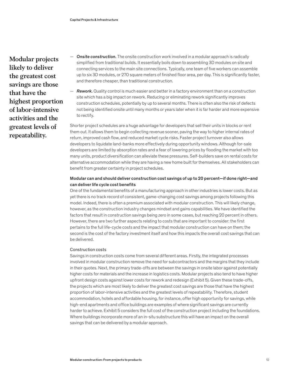**Modular projects likely to deliver the greatest cost savings are those that have the highest proportion of labor-intensive activities and the greatest levels of**  repeatability.

- **Onsite construction.** The onsite construction work involved in a modular approach is radically simplified from traditional builds. It essentially boils down to assembling 3D modules on site and connecting services to the main site connections. Typically, one team of five workers can assemble up to six 3D modules, or 270 square meters of finished floor area, per day. This is significantly faster, and therefore cheaper, than traditional construction.
- *Rework.* Quality control is much easier and better in a factory environment than on a construction site which has a big impact on rework. Reducing or eliminating rework significantly improves construction schedules, potentially by up to several months. There is often also the risk of defects not being identified onsite until many months or years later when it is far harder and more expensive to rectify.

Shorter project schedules are a huge advantage for developers that sell their units in blocks or rent them out. It allows them to begin collecting revenue sooner, paving the way to higher internal rates of return, improved cash flow, and reduced market cycle risks. Faster project turnover also allows developers to liquidate land-banks more effectively during opportunity windows. Although for-sale developers are limited by absorption rates and a fear of lowering prices by flooding the market with too many units, product diversification can alleviate these pressures. Self-builders save on rental costs for alternative accommodation while they are having a new home built for themselves. All stakeholders can benefit from greater certainty in project schedules.

#### Modular can and should deliver construction cost savings of up to 20 percent—if done right—and can deliver life cycle cost benefits

One of the fundamental benefits of a manufacturing approach in other industries is lower costs. But as yet there is no track record of consistent, game-changing cost savings among projects following this model. Indeed, there is often a premium associated with modular construction. This will likely change, however, as the construction industry changes mindset and gains capabilities. We have identified the factors that result in construction savings being zero in some cases, but reaching 20 percent in others. However, there are two further aspects relating to costs that are important to consider: the first pertains to the full life-cycle costs and the impact that modular construction can have on them; the second is the cost of the factory investment itself and how this impacts the overall cost savings that can be delivered.

#### Construction costs

Savings in construction costs come from several different areas. Firstly, the integrated processes involved in modular construction remove the need for subcontractors and the margins that they include in their quotes. Next, the primary trade-offs are between the savings in onsite labor against potentially higher costs for materials and the increase in logistics costs. Modular projects also tend to have higher upfront design costs against lower costs for rework and redesign (Exhibit 5). Given these trade-offs, the projects which are most likely to deliver the greatest cost savings are those that have the highest proportion of labor-intensive activities and the greatest levels of repeatability. Therefore, student accommodation, hotels and affordable housing, for instance, offer high opportunity for savings, while high-end apartments and office buildings are examples of where significant savings are currently harder to achieve. Exhibit 5 considers the full cost of the construction project including the foundations. Where buildings incorporate more of an in-situ substructure this will have an impact on the overall savings that can be delivered by a modular approach.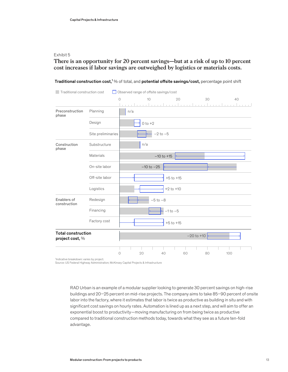#### Exhibit 5

#### **There is an opportunity for 20 percent savings—but at a risk of up to 10 percent cost increases if labor savings are outweighed by logistics or materials costs .**

Traditional construction cost, $1\%$  of total, and potential offsite savings/cost, percentage point shift

| Traditional construction cost                |                    |                | Observed range of offsite savings/cost |               |                               |                                     |  |  |
|----------------------------------------------|--------------------|----------------|----------------------------------------|---------------|-------------------------------|-------------------------------------|--|--|
|                                              |                    | $\circ$        | 10<br>and a state                      | 20            | 30<br>an matematic contractor | 40<br>and a state of the control of |  |  |
| Preconstruction<br>phase                     | Planning           | n/a            |                                        |               |                               |                                     |  |  |
|                                              | Design             |                | $0 to +2$                              |               |                               |                                     |  |  |
|                                              | Site preliminaries |                | $-2$ to $-5$                           |               |                               |                                     |  |  |
| Construction<br>phase                        | Substructure       |                | n/a                                    |               |                               |                                     |  |  |
|                                              | Materials          |                | $-10$ to $+15$                         |               |                               |                                     |  |  |
|                                              | On-site labor      |                | $-10$ to $-25$                         |               |                               |                                     |  |  |
|                                              | Off-site labor     |                |                                        | $+5$ to $+15$ |                               |                                     |  |  |
|                                              | Logistics          |                |                                        | $+2$ to $+10$ |                               |                                     |  |  |
| Enablers of<br>construction                  | Redesign           |                | $-5$ to $-8$                           |               |                               |                                     |  |  |
|                                              | Financing          |                |                                        | $-1$ to $-5$  |                               |                                     |  |  |
|                                              | Factory cost       |                |                                        | $+5$ to $+15$ |                               |                                     |  |  |
| <b>Total construction</b><br>project cost, % |                    | $-20$ to $+10$ |                                        |               |                               |                                     |  |  |
|                                              |                    | $\circ$        | 20<br>40                               | 60            | 80                            | 100                                 |  |  |

1 Indicative breakdown: varies by project.

Source: US Federal Highway Administration; McKinsey Capital Projects & Infrastructure

RAD Urban is an example of a modular supplier looking to generate 30 percent savings on high-rise buildings and 20–25 percent on mid-rise projects. The company aims to take 85–90 percent of onsite labor into the factory, where it estimates that labor is twice as productive as building in situ and with significant cost savings on hourly rates. Automation is lined up as a next step, and will aim to offer an exponential boost to productivity—moving manufacturing on from being twice as productive compared to traditional construction methods today, towards what they see as a future ten-fold advantage.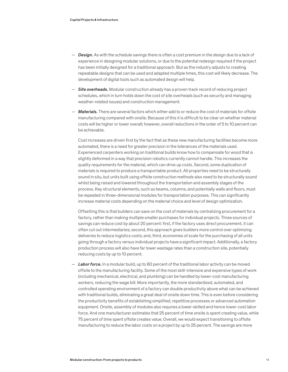- *Design.* As with the schedule savings there is often a cost premium in the design due to a lack of experience in designing modular solutions, or due to the potential redesign required if the project has been initially designed for a traditional approach. But as the industry adjusts to creating repeatable designs that can be used and adapted multiple times, this cost will likely decrease. The development of digital tools such as automated design will help.
- *Site overheads.* Modular construction already has a proven track record of reducing project schedules, which in turn holds down the cost of site overheads (such as security and managing weather-related issues) and construction management.
- *Materials.* There are several factors which either add to or reduce the cost of materials for offsite manufacturing compared with onsite. Because of this it is difficult to be clear on whether material costs will be higher or lower overall; however, overall reductions in the order of 5 to 10 percent can be achievable.

Cost increases are driven first by the fact that as these new manufacturing facilities become more automated, there is a need for greater precision in the tolerances of the materials used. Experienced carpenters working on traditional builds know how to compensate for wood that is slightly deformed in a way that precision robotics currently cannot handle. This increases the quality requirements for the material, which can drive up costs. Second, some duplication of materials is required to produce a transportable product. All properties need to be structurally sound in situ, but units built using offsite construction methods also need to be structurally sound whilst being raised and lowered throughout the transportation and assembly stages of the process. Key structural elements, such as beams, columns, and potentially walls and floors, must be repeated in three-dimensional modules for transportation purposes. This can significantly increase material costs depending on the material choice and level of design optimization.

Offsetting this is that builders can save on the cost of materials by centralizing procurement for a factory, rather than making multiple smaller purchases for individual projects. Three sources of savings can reduce cost by about 20 percent: first, if the factory uses direct procurement, it can often cut out intermediaries; second, this approach gives builders more control over optimizing deliveries to reduce logistics costs; and, third, economies of scale for the purchasing of all units going through a factory versus individual projects have a significant impact. Additionally, a factory production process will also have far lower wastage rates than a construction site, potentially reducing costs by up to 10 percent.

 — *Labor force.* In a modular build, up to 80 percent of the traditional labor activity can be moved offsite to the manufacturing facility. Some of the most skill-intensive and expensive types of work (including mechanical, electrical, and plumbing) can be handled by lower-cost manufacturing workers, reducing the wage bill. More importantly, the more standardized, automated, and controlled operating environment of a factory can double productivity above what can be achieved with traditional builds, eliminating a great deal of onsite down time. This is even before considering the productivity benefits of establishing simplified, repetitive processes or advanced automation equipment. Onsite, assembly of modules also requires a lower-skilled and hence lower-cost labor force. And one manufacturer estimates that 25 percent of time onsite is spent creating value, while 75 percent of time spent offsite creates value. Overall, we would expect transitioning to offsite manufacturing to reduce the labor costs on a project by up to 25 percent. The savings are more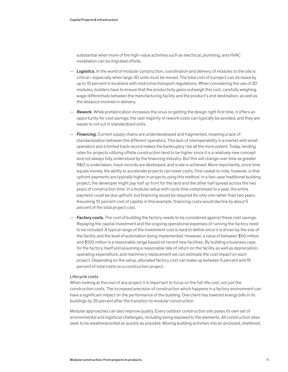substantial when more of the high-value activities such as electrical, plumbing, and HVAC installation can be migrated offsite.

- *Logistics.* In the world of modular construction, coordination and delivery of modules to the site is critical—especially when large 3D units must be moved. The total cost of a project can increase by up to 10 percent in locations with restrictive transport regulations. When considering the use of 3D modules, builders have to ensure that the productivity gains outweigh this cost, carefully weighing wage differentials between the manufacturing facility and the product's end destination, as well as the distance involved in delivery.
- *Rework.* While prefabrication increases the onus on getting the design right first time, it offers an opportunity for cost savings; the vast majority of rework costs can typically be avoided, and they are easier to roll out in standardized units.
- *Financing.* Current supply chains are underdeveloped and fragmented, meaning a lack of standardization between the different operators. This lack of interoperability in a market with small operators and a limited track record makes the bankruptcy risk all the more potent. Today, lending rates for projects utilizing offsite construction tend to be higher since it is a relatively new concept and not always fully understood by the financing industry. But this will change over time as greater R&D is undertaken, track records are developed, and scale is achieved. More importantly, since time equals money, the ability to accelerate projects can lower costs. One caveat to note, however, is that upfront payments are typically higher in projects using this method. In a two-year traditional building project, the developer might pay half up front for the land and the other half spread across the two years of construction time. In a modular setup with cycle time compressed to a year, the entire payment could be due upfront, but financing would be required for only one rather than two years. Assuming 10 percent cost of capital, in this example, financing costs would decline by about 5 percent of the total project cost.
- *Factory costs.* The cost of building the factory needs to be considered against these cost savings. Repaying the capital investment and the ongoing operational expenses of running the factory need to be included. A typical range of the investment cost is hard to define since it is driven by the size of the facility and the level of automation being implemented. However, a value of between \$50 million and \$100 million is a reasonable range based on recent new facilities. By building a business case for the factory itself and assuming a reasonable rate of return on the facility as well as depreciation, operating expenditure, and machinery replacement we can estimate the cost impact on each project. Depending on the setup, allocated factory cost can make up between 5 percent and 15 percent of total costs on a construction project.

#### Lifecycle costs

When looking at the cost of any project it is important to focus on the full-life cost, not just the construction costs. The increased precision of construction which happens in a factory environment can have a significant impact on the performance of the building. One client has lowered energy bills in its buildings by 25 percent after the transition to modular construction.

Modular approaches can also improve quality. Every outdoor construction site poses its own set of environmental and logistical challenges, including being exposed to the elements. All construction sites seek to be weatherproofed as quickly as possible. Moving building activities into an enclosed, sheltered,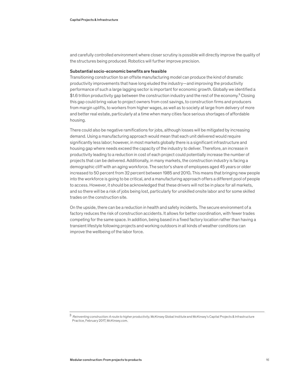and carefully controlled environment where closer scrutiny is possible will directly improve the quality of the structures being produced. Robotics will further improve precision.

#### Substantial socio-economic benefits are feasible

Transitioning construction to an offsite manufacturing model can produce the kind of dramatic productivity improvements that have long eluded the industry—and improving the productivity performance of such a large lagging sector is important for economic growth. Globally we identified a  $$1.6$  trillion productivity gap between the construction industry and the rest of the economy.<sup>3</sup> Closing this gap could bring value to project owners from cost savings, to construction firms and producers from margin uplifts, to workers from higher wages, as well as to society at large from delivery of more and better real estate, particularly at a time when many cities face serious shortages of affordable housing.

There could also be negative ramifications for jobs, although losses will be mitigated by increasing demand. Using a manufacturing approach would mean that each unit delivered would require significantly less labor; however, in most markets globally there is a significant infrastructure and housing gap where needs exceed the capacity of the industry to deliver. Therefore, an increase in productivity leading to a reduction in cost of each project could potentially increase the number of projects that can be delivered. Additionally, in many markets, the construction industry is facing a demographic cliff with an aging workforce. The sector's share of employees aged 45 years or older increased to 50 percent from 32 percent between 1985 and 2010. This means that bringing new people into the workforce is going to be critical, and a manufacturing approach offers a different pool of people to access. However, it should be acknowledged that these drivers will not be in place for all markets, and so there will be a risk of jobs being lost, particularly for unskilled onsite labor and for some skilled trades on the construction site.

On the upside, there can be a reduction in health and safety incidents. The secure environment of a factory reduces the risk of construction accidents. It allows for better coordination, with fewer trades competing for the same space. In addition, being based in a fixed factory location rather than having a transient lifestyle following projects and working outdoors in all kinds of weather conditions can improve the wellbeing of the labor force.

<sup>3</sup>*Reinventing construction: A route to higher productivity*, McKinsey Global Institute and McKinsey's Capital Projects & Infrastructure Practice, February 2017, McKinsey.com.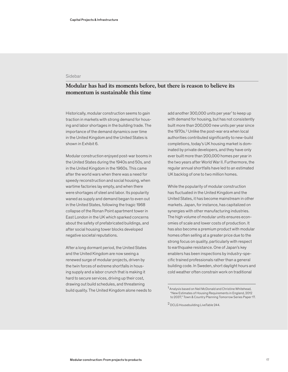#### Sidebar

#### **Modular has had its moments before, but there is reason to believe its momentum is sustainable this time**

Historically, modular construction seems to gain traction in markets with strong demand for housing and labor shortages in the building trade. The importance of the demand dynamics over time in the United Kingdom and the United States is shown in Exhibit 6.

Modular construction enjoyed post-war booms in the United States during the 1940s and 50s, and in the United Kingdom in the 1960s. This came after the world wars when there was a need for speedy reconstruction and social housing, when wartime factories lay empty, and when there were shortages of steel and labor. Its popularity waned as supply and demand began to even out in the United States, following the tragic 1968 collapse of the Ronan Point apartment tower in East London in the UK which sparked concerns about the safety of prefabricated buildings, and after social housing tower blocks developed negative societal reputations.

After a long dormant period, the United States and the United Kingdom are now seeing a renewed surge of modular projects, driven by the twin forces of extreme shortfalls in housing supply and a labor crunch that is making it hard to secure services, driving up their cost, drawing out build schedules, and threatening build quality. The United Kingdom alone needs to

add another 300,000 units per year<sup>1</sup> to keep up with demand for housing, but has not consistently built more than 200,000 new units per year since the 1970s.<sup>2</sup> Unlike the post-war era when local authorities contributed significantly to new-build completions, today's UK housing market is dominated by private developers, and they have only ever built more than 200,000 homes per year in the two years after World War II. Furthermore, the regular annual shortfalls have led to an estimated UK backlog of one to two million homes.

While the popularity of modular construction has fluctuated in the United Kingdom and the United States, it has become mainstream in other markets. Japan, for instance, has capitalized on synergies with other manufacturing industries. The high volume of modular units ensures economies of scale and lower costs of production. It has also become a premium product with modular homes often selling at a greater price due to the strong focus on quality, particularly with respect to earthquake resistance. One of Japan's key enablers has been inspections by industry-specific trained professionals rather than a general building code. In Sweden, short daylight hours and cold weather often constrain work on traditional

<sup>&</sup>lt;sup>1</sup> Analysis based on Neil McDonald and Christine Whitehead, "New Estimates of Housing Requirements in England, 2012 to 2037," Town & Country Planning Tomorrow Series Paper 17.

<sup>2</sup> DCLG Housebuilding LiveTable 244.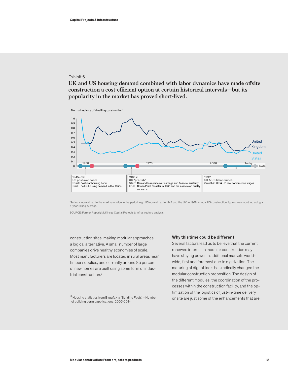#### Exhibit 6

**UK and US housing demand combined with labor dynamics have made offsite construction a cost-efficient option at certain historical intervals—but its popularity in the market has proved short-lived .** 



<sup>1</sup>Series is normalized to the maximum value in the period: e.g., US normalized to 1947 and the UK to 1968. Annual US construction figures are smoothed using a 5-year rolling average.

SOURCE: Farmer Report; McKinsey Capital Projects & Infrastructure analysis

construction sites, making modular approaches a logical alternative. A small number of large companies drive healthy economies of scale. Most manufacturers are located in rural areas near timber supplies, and currently around 85 percent of new homes are built using some form of industrial construction.<sup>3</sup>

 $\overline{3}$  Housing statistics from Byggfakta [Building Facts]-Number of building permit applications, 2007-2014.

#### Why this time could be different

Several factors lead us to believe that the current renewed interest in modular construction may have staying power in additional markets worldwide, first and foremost due to digitization. The maturing of digital tools has radically changed the modular construction proposition. The design of the different modules, the coordination of the processes within the construction facility, and the optimization of the logistics of just-in-time delivery onsite are just some of the enhancements that are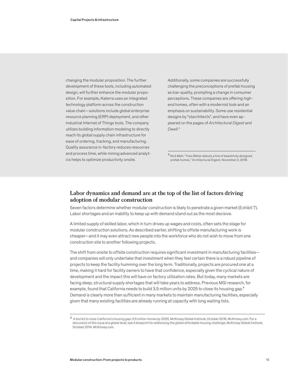changing the modular proposition. The further development of these tools, including automated design, will further enhance the modular proposition. For example, Katerra uses an integrated technology platform across the construction value chain—solutions include global enterprise resource planning (ERP) deployment, and other industrial Internet of Things tools. The company utilizes building information modeling to directly reach its global supply chain infrastructure for ease of ordering, tracking, and manufacturing. Quality assurance in-factory reduces resources and process time, while mining advanced analytics helps to optimize productivity onsite.

Additionally, some companies are successfully challenging the preconceptions of prefab housing as low-quality, prompting a change in consumer perceptions. These companies are offering highend homes, often with a modernist look and an emphasis on sustainability. Some use residential designs by "starchitects", and have even appeared on the pages of *Architectural Digest* and *Dwell.*<sup>4</sup>

4 Nick Mafi, "Yves Béhar debuts a line of beautifully designed prefab homes," Architectural Digest, November 2, 2018.

#### **Labor dynamics and demand are at the top of the list of factors driving adoption of modular construction**

Seven factors determine whether modular construction is likely to penetrate a given market (Exhibit 7). Labor shortages and an inability to keep up with demand stand out as the most decisive.

A limited supply of skilled labor, which in turn drives up wages and costs, often sets the stage for modular construction solutions. As described earlier, shifting to offsite manufacturing work is cheaper—and it may even attract new people into the workforce who do not wish to move from one construction site to another following projects.

The shift from onsite to offsite construction requires significant investment in manufacturing facilities and companies will only undertake that investment when they feel certain there is a robust pipeline of projects to keep the facility humming over the long term. Traditionally, projects are procured one at a time, making it hard for facility owners to have that confidence, especially given the cyclical nature of development and the impact this will have on factory utilization rates. But today, many markets are facing deep, structural supply shortages that will take years to address. Previous MGI research, for example, found that California needs to build 3.5 million units by 2025 to close its housing gap.<sup>4</sup> Demand is clearly more than sufficient in many markets to maintain manufacturing facilities, especially given that many existing facilities are already running at capacity with long waiting lists.

<sup>&</sup>lt;sup>4</sup> A tool kit to close California's housing gap: 3.5 million homes by 2025, McKinsey Global Institute, October 2016, McKinsey.com. For a discussion of this issue at a global level, see *A blueprint for addressing the global affordable housing challenge*, McKinsey Global Institute, October 2014, McKinsey.com.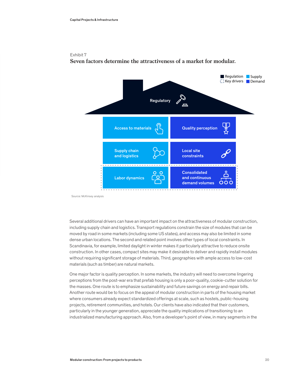



Source: McKinsey analysis

Several additional drivers can have an important impact on the attractiveness of modular construction, including supply chain and logistics. Transport regulations constrain the size of modules that can be moved by road in some markets (including some US states), and access may also be limited in some dense urban locations. The second and related point involves other types of local constraints. In Scandinavia, for example, limited daylight in winter makes it particularly attractive to reduce onsite construction. In other cases, compact sites may make it desirable to deliver and rapidly install modules without requiring significant storage of materials. Third, geographies with ample access to low-cost materials (such as timber) are natural markets.

One major factor is quality perception. In some markets, the industry will need to overcome lingering perceptions from the post-war era that prefab housing is only a poor-quality, cookie-cutter solution for the masses. One route is to emphasize sustainability and future savings on energy and repair bills. Another route would be to focus on the appeal of modular construction in parts of the housing market where consumers already expect standardized offerings at scale, such as hostels, public-housing projects, retirement communities, and hotels. Our clients have also indicated that their customers, particularly in the younger generation, appreciate the quality implications of transitioning to an industrialized manufacturing approach. Also, from a developer's point of view, in many segments in the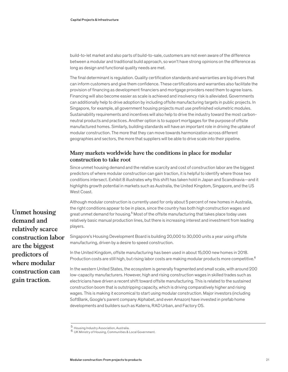build-to-let market and also parts of build-to-sale, customers are not even aware of the difference between a modular and traditional build approach, so won't have strong opinions on the difference as long as design and functional quality needs are met.

The final determinant is regulation. Quality certification standards and warranties are big drivers that can inform customers and give them confidence. These certifications and warranties also facilitate the provision of financing as development financiers and mortgage providers need them to agree loans. Financing will also become easier as scale is achieved and insolvency risk is alleviated. Governments can additionally help to drive adoption by including offsite manufacturing targets in public projects. In Singapore, for example, all government housing projects must use prefinished volumetric modules. Sustainability requirements and incentives will also help to drive the industry toward the most carbonneutral products and practices. Another option is to support mortgages for the purpose of offsite manufactured homes. Similarly, building standards will have an important role in driving the uptake of modular construction. The more that they can move towards harmonization across different geographies and sectors, the more that suppliers will be able to drive scale into their pipeline.

#### **Many markets worldwide have the conditions in place for modular construction to take root**

Since unmet housing demand and the relative scarcity and cost of construction labor are the biggest predictors of where modular construction can gain traction, it is helpful to identify where those two conditions intersect. Exhibit 8 illustrates why this shift has taken hold in Japan and Scandinavia—and it highlights growth potential in markets such as Australia, the United Kingdom, Singapore, and the US West Coast.

Although modular construction is currently used for only about 5 percent of new homes in Australia, the right conditions appear to be in place, since the country has both high construction wages and great unmet demand for housing.<sup>5</sup> Most of the offsite manufacturing that takes place today uses relatively basic manual production lines, but there is increasing interest and investment from leading players.

Singapore's Housing Development Board is building 20,000 to 30,000 units a year using offsite manufacturing, driven by a desire to speed construction.

In the United Kingdom, offsite manufacturing has been used in about 15,000 new homes in 2018. Production costs are still high, but rising labor costs are making modular products more competitive. $^{6}$ 

In the western United States, the ecosystem is generally fragmented and small scale, with around 200 low-capacity manufacturers. However, high and rising construction wages in skilled trades such as electricians have driven a recent shift toward offsite manufacturing. This is related to the sustained construction boom that is outstripping capacity, which is driving comparatively higher and rising wages. This is making it economical to start using modular construction. Major investors (including SoftBank, Google's parent company Alphabet, and even Amazon) have invested in prefab home developments and builders such as Katerra, RAD Urban, and Factory OS.

**Unmet housing demand and relatively scarce construction labor are the biggest predictors of where modular construction can**  gain traction.

<sup>5</sup> Housing Industry Association, Australia.

<sup>6</sup> UK Ministry of Housing, Communities & Local Government.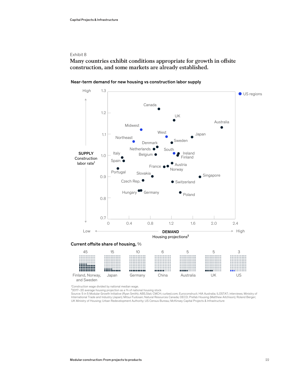#### Exhibit 8

Many countries exhibit conditions appropriate for growth in offsite **Many countries exhibit conditions appropriate for growth in offsite construction, and some markets are already established .**







<sup>1</sup>Construction wage divided by national median wage.

²2017–20 average housing projection as a % of national housing stock

Source: 5 in 5 Modular Growth Initiative (Ryan Smith); ABS.Stat; CMCH; curbed.com; Euroconstruct; HIA Australia; ILOSTAT; interviews; Ministry of International Trade and Industry (Japan); Mitsui Fudosan; Natural Resources Canada; OECD; Prefab Housing (Matthew Aitchison); Roland Berger; UK Ministry of Housing; Urban Redevelopment Authority; US Census Bureau; McKinsey Capital Projects & Infrastructure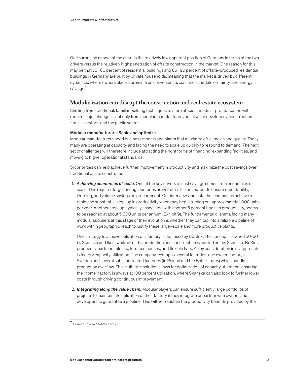One surprising aspect of the chart is the relatively low apparent position of Germany in terms of the two drivers versus the relatively high penetration of offsite construction in the market. One reason for this may be that 75–80 percent of residential buildings and 85–90 percent of offsite-produced residential buildings in Germany are built by private households, meaning that the market is driven by different dynamics, where owners place a premium on convenience, cost and schedule certainty, and energy savings.<sup>7</sup>

#### **Modularization can disrupt the construction and real-estate ecosystem**

Shifting from traditional, familiar building techniques to more efficient modular prefabrication will require major changes—not only from modular manufacturers but also for developers, construction firms, investors, and the public sector.

#### Modular manufacturers: Scale and optimize

Modular manufacturers need business models and plants that maximize efficiencies and quality. Today, many are operating at capacity and facing the need to scale up quickly to respond to demand. The next set of challenges will therefore include attracting the right forms of financing, expanding facilities, and moving to higher operational standards.

Six priorities can help achieve further improvement in productivity and maximize the cost savings over traditional onsite construction:

1. *Achieving economies of scale.* One of the key drivers of cost savings comes from economies of scale. This requires large-enough factories as well as sufficient output to ensure repeatability, learning, and volume savings on procurement. Our interviews indicate that companies achieve a rapid and substantial step-up in productivity when they begin turning out approximately 1,000 units per year. Another step-up, typically associated with another 5 percent boost in productivity, seems to be reached at about 5,000 units per annum (Exhibit 9). The fundamental dilemma facing many modular suppliers at this stage of their evolution is whether they can tap into a reliable pipeline of work within geographic reach to justify these larger-scale and more productive plants.

One strategy to achieve utilization of a factory is that used by BoKlok. The concept is owned 50-50 by Skanska and Ikea, while all of the production and construction is carried out by Skanska. BoKlok produces apartment blocks, terraced houses, and flexible flats. A key consideration in its approach is factory capacity utilization. The company leverages several factories: one owned factory in Sweden and several sub-contracted factories (in Poland and the Baltic states) which handle production overflow. This multi-site solution allows for optimization of capacity utilization, ensuring the "home" factory is always at 100 percent utilization, where Skanska can also look to further lower costs through driving continuous improvement.

2. *Integrating along the value chain.* Modular players can ensure sufficiently large portfolios of projects to maintain the utilization of their factory if they integrate or partner with owners and developers to guarantee a pipeline. This will help sustain the productivity benefits provided by the

<sup>7</sup> German Federal Statistics Office.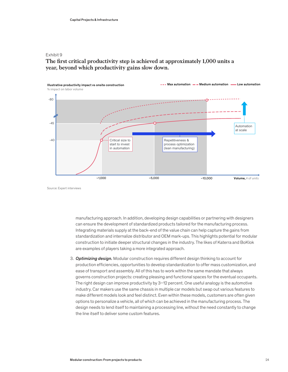#### Exhibit 9

#### **The first critical productivity step is achieved at approximately 1,000 units a year, beyond which productivity gains slow down .**



Source: Expert interviews

manufacturing approach. In addition, developing design capabilities or partnering with designers can ensure the development of standardized products tailored for the manufacturing process. Integrating materials supply at the back-end of the value chain can help capture the gains from standardization and internalize distributor and OEM mark-ups. This highlights potential for modular construction to initiate deeper structural changes in the industry. The likes of Katerra and BoKlok are examples of players taking a more integrated approach.

3. *Optimizing design.* Modular construction requires different design thinking to account for production efficiencies, opportunities to develop standardization to offer mass customization, and ease of transport and assembly. All of this has to work within the same mandate that always governs construction projects: creating pleasing and functional spaces for the eventual occupants. The right design can improve productivity by 3–12 percent. One useful analogy is the automotive industry. Car makers use the same chassis in multiple car models but swap out various features to make different models look and feel distinct. Even within these models, customers are often given options to personalize a vehicle, all of which can be achieved in the manufacturing process. The design needs to lend itself to maintaining a processing line, without the need constantly to change the line itself to deliver some custom features.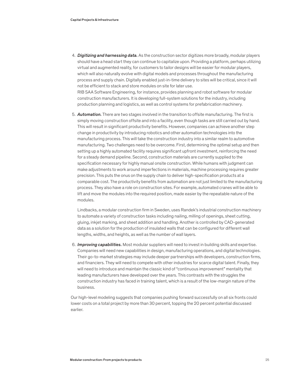- 4. *Digitizing and harnessing data.* As the construction sector digitizes more broadly, modular players should have a head start they can continue to capitalize upon. Providing a platform, perhaps utilizing virtual and augmented reality, for customers to tailor designs will be easier for modular players, which will also naturally evolve with digital models and processes throughout the manufacturing process and supply chain. Digitally enabled just-in-time delivery to sites will be critical, since it will not be efficient to stack and store modules on site for later use. RIB SAA Software Engineering, for instance, provides planning and robot software for modular construction manufacturers. It is developing full-system solutions for the industry, including production planning and logistics, as well as control systems for prefabrication machinery.
- 5. *Automation.* There are two stages involved in the transition to offsite manufacturing. The first is simply moving construction offsite and into a facility, even though tasks are still carried out by hand. This will result in significant productivity benefits. However, companies can achieve another step change in productivity by introducing robotics and other automation technologies into the manufacturing process. This will take the construction industry into a similar realm to automotive manufacturing. Two challenges need to be overcome. First, determining the optimal setup and then setting up a highly automated facility requires significant upfront investment, reinforcing the need for a steady demand pipeline. Second, construction materials are currently supplied to the specification necessary for highly manual onsite construction. While humans with judgment can make adjustments to work around imperfections in materials, machine processing requires greater precision. This puts the onus on the supply chain to deliver high-specification products at a comparable cost. The productivity benefits from automation are not just limited to the manufacturing process. They also have a role on construction sites. For example, automated cranes will be able to lift and move the modules into the required position, made easier by the repeatable nature of the modules.

Lindbacks, a modular construction firm in Sweden, uses Randek's industrial construction machinery to automate a variety of construction tasks including nailing, milling of openings, sheet cutting, gluing, inkjet marking, and sheet addition and handling. Another is controlled by CAD-generated data as a solution for the production of insulated walls that can be configured for different wall lengths, widths, and heights, as well as the number of wall layers.

6. *Improving capabilities.* Most modular suppliers will need to invest in building skills and expertise. Companies will need new capabilities in design, manufacturing operations, and digital technologies. Their go-to-market strategies may include deeper partnerships with developers, construction firms, and financiers. They will need to compete with other industries for scarce digital talent. Finally, they will need to introduce and maintain the classic kind of "continuous improvement" mentality that leading manufacturers have developed over the years. This contrasts with the struggles the construction industry has faced in training talent, which is a result of the low-margin nature of the business.

Our high-level modeling suggests that companies pushing forward successfully on all six fronts could lower costs on a total project by more than 30 percent, topping the 20 percent potential discussed earlier.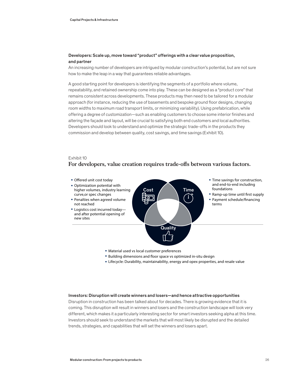#### Developers: Scale up, move toward "product" offerings with a clear value proposition, and partner

An increasing number of developers are intrigued by modular construction's potential, but are not sure how to make the leap in a way that guarantees reliable advantages.

A good starting point for developers is identifying the segments of a portfolio where volume, repeatability, and retained ownership come into play. These can be designed as a "product core" that remains consistent across developments. These products may then need to be tailored for a modular approach (for instance, reducing the use of basements and bespoke ground floor designs, changing room widths to maximum road transport limits, or minimizing variability). Using prefabrication, while offering a degree of customization—such as enabling customers to choose some interior finishes and altering the façade and layout, will be crucial to satisfying both end customers and local authorities. Developers should look to understand and optimize the strategic trade-offs in the products they commission and develop between quality, cost savings, and time savings (Exhibit 10).

#### Exhibit 10

#### **For developers, value creation requires trade-offs between various factors.**



- Material used vs local customer preferences
- Building dimensions and floor space vs optimized in-situ design
- Lifecycle: Durability, maintainability, energy and opex properties, and resale value •

#### Investors: Disruption will create winners and losers—and hence attractive opportunities

Disruption in construction has been talked about for decades. There is growing evidence that it is coming. This disruption will result in winners and losers and the construction landscape will look very different, which makes it a particularly interesting sector for smart investors seeking alpha at this time. Investors should seek to understand the markets that will most likely be disrupted and the detailed trends, strategies, and capabilities that will set the winners and losers apart.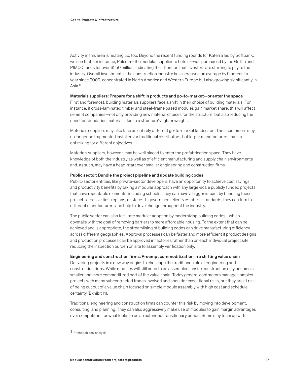Activity in this area is heating up, too. Beyond the recent funding rounds for Katerra led by Softbank, we see that, for instance, Polcom—the modular supplier to hotels—was purchased by the Griffin and PIMCO funds for over \$250 million, indicating the attention that investors are starting to pay to the industry. Overall investment in the construction industry has increased on average by 9 percent a year since 2009, concentrated in North America and Western Europe but also growing significantly in Asia.<sup>8</sup>

#### Materials suppliers: Prepare for a shift in products and go-to-market—or enter the space

First and foremost, building materials suppliers face a shift in their choice of building materials. For instance, if cross-laminated timber and steel-frame based modules gain market share, this will affect cement companies—not only providing new material choices for the structure, but also reducing the need for foundation materials due to a structure's lighter weight.

Materials suppliers may also face an entirely different go-to-market landscape. Their customers may no longer be fragmented installers or traditional distributors, but larger manufacturers that are optimizing for different objectives.

Materials suppliers, however, may be well placed to enter the prefabrication space. They have knowledge of both the industry as well as of efficient manufacturing and supply chain environments and, as such, may have a head-start over smaller engineering and construction firms.

#### Public sector: Bundle the project pipeline and update building codes

Public-sector entities, like private-sector developers, have an opportunity to achieve cost savings and productivity benefits by taking a modular approach with any large-scale publicly funded projects that have repeatable elements, including schools. They can have a bigger impact by bundling these projects across cities, regions, or states. If government clients establish standards, they can turn to different manufacturers and help to drive change throughout the industry.

The public sector can also facilitate modular adoption by modernizing building codes—which dovetails with the goal of removing barriers to more affordable housing. To the extent that can be achieved and is appropriate, the streamlining of building codes can drive manufacturing efficiency across different geographies. Approval processes can be faster and more efficient if product designs and production processes can be approved in factories rather than on each individual project site, reducing the inspection burden on site to assembly verification only.

#### Engineering and construction firms: Preempt commoditization in a shifting value chain

Delivering projects in a new way begins to challenge the traditional role of engineering and construction firms. While modules will still need to be assembled, onsite construction may become a smaller and more commoditized part of the value chain. Today general contractors manage complex projects with many subcontracted trades involved and shoulder executional risks, but they are at risk of being cut out of a value chain focused on simple module assembly with high cost and schedule certainty (Exhibit 11).

Traditional engineering and construction firms can counter this risk by moving into development, consulting, and planning. They can also aggressively make use of modules to gain margin advantages over competitors for what looks to be an extended transitionary period. Some may team up with

<sup>8</sup> Pitchbook deal analysis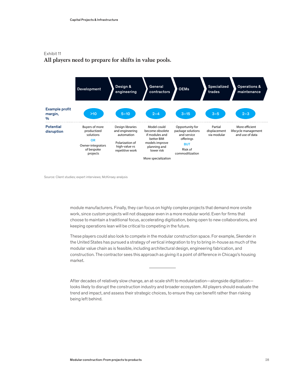#### Exhibit 11 **All players need to prepare for shifts in value pools .**



Source: Client studies; expert interviews; McKinsey analysis

module manufacturers. Finally, they can focus on highly complex projects that demand more onsite work, since custom projects will not disappear even in a more modular world. Even for firms that choose to maintain a traditional focus, accelerating digitization, being open to new collaborations, and keeping operations lean will be critical to competing in the future.

These players could also look to compete in the modular construction space. For example, Skender in the United States has pursued a strategy of vertical integration to try to bring in-house as much of the modular value chain as is feasible, including architectural design, engineering fabrication, and construction. The contractor sees this approach as giving it a point of difference in Chicago's housing market.

After decades of relatively slow change, an at-scale shift to modularization—alongside digitization looks likely to disrupt the construction industry and broader ecosystem. All players should evaluate the trend and impact, and assess their strategic choices, to ensure they can benefit rather than risking being left behind.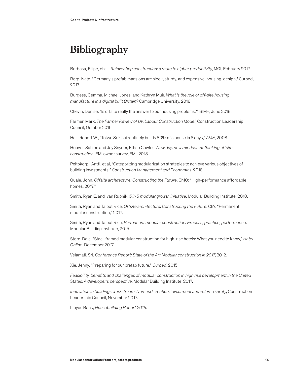### **Bibliography**

Barbosa, Filipe, et al., *Reinventing construction: a route to higher productivity*, MGI, February 2017.

Berg, Nate, "Germany's prefab mansions are sleek, sturdy, and expensive-housing-design," Curbed, 2017.

Burgess, Gemma, Michael Jones, and Kathryn Muir, *What is the role of off-site housing manufacture in a digital built Britain?* Cambridge University, 2018.

Chevin, Denise, "Is offsite really the answer to our housing problems?" BIM+, June 2018.

Farmer, Mark, *The Farmer Review of UK Labour Construction Model*, Construction Leadership Council, October 2016.

Hall, Robert W., "Tokyo Sekisui routinely builds 80% of a house in 3 days," *AME*, 2008.

Hoover, Sabine and Jay Snyder, Ethan Cowles, *New day, new mindset: Rethinking offsite construction*, FMI owner survey, FMI, 2018.

Peltokorpi, Antti, et al, "Categorizing modularization strategies to achieve various objectives of building investments," *Construction Management and Economics*, 2018.

Quale, John, *Offsite architecture: Constructing the Future*, Ch10: "High-performance affordable homes, 2017."

Smith, Ryan E. and Ivan Rupnik, *5 in 5 modular growth initiative*, Modular Building Institute, 2018.

Smith, Ryan and Talbot Rice, *Offsite architecture: Constructing the Future*: Ch7: "Permanent modular construction," 2017.

Smith, Ryan and Talbot Rice, *Permanent modular construction: Process, practice, performance,*  Modular Building Institute, 2015.

Stern, Dale, "Steel-framed modular construction for high-rise hotels: What you need to know," *Hotel Online*, December 2017.

Velamati, Sri, *Conference Report: State of the Art Modular construction in 2017*, 2012.

Xie, Jenny, "Preparing for our prefab future," *Curbed*, 2015.

*Feasibility, benefits and challenges of modular construction in high rise development in the United States: A developer's perspective*, Modular Building Institute, 2017.

*Innovation in buildings workstream: Demand creation, investment and volume surety*, Construction Leadership Council, November 2017.

Lloyds Bank, *Housebuilding Report 2018*.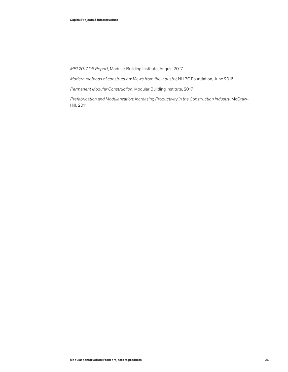*MBI 2017 Q3 Report*, Modular Building Institute, August 2017.

*Modern methods of construction: Views from the industry*, NHBC Foundation, June 2016.

*Permanent Modular Construction*, Modular Building Institute, 2017.

*Prefabrication and Modularization: Increasing Productivity in the Construction Industry*, McGraw-Hill, 2011.